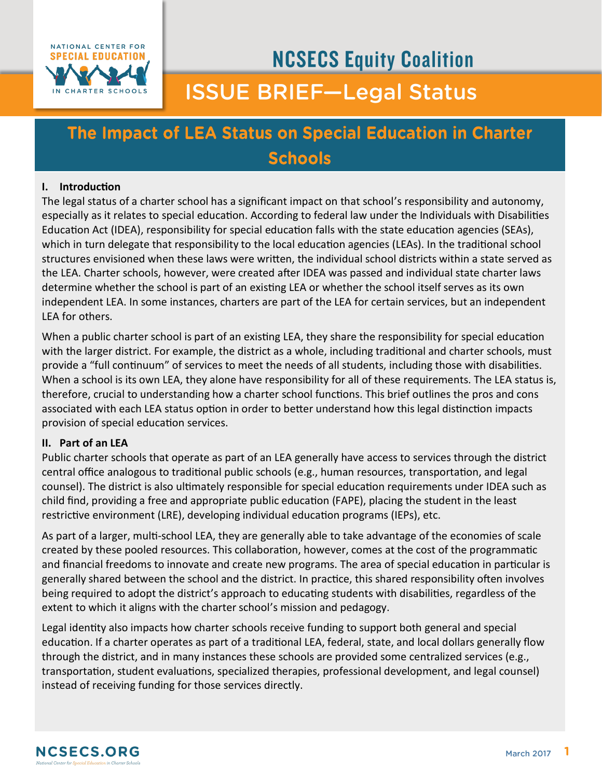

# **NCSECS Equity Coalition ISSUE BRIEF-Legal Status**

# The Impact of LEA Status on Special Education in Charter **Schools**

# **I. Introduction**

The legal status of a charter school has a significant impact on that school's responsibility and autonomy, especially as it relates to special education. According to federal law under the Individuals with Disabilities Education Act (IDEA), responsibility for special education falls with the state education agencies (SEAs), which in turn delegate that responsibility to the local education agencies (LEAs). In the traditional school structures envisioned when these laws were written, the individual school districts within a state served as the LEA. Charter schools, however, were created after IDEA was passed and individual state charter laws determine whether the school is part of an existing LEA or whether the school itself serves as its own independent LEA. In some instances, charters are part of the LEA for certain services, but an independent LEA for others.

When a public charter school is part of an existing LEA, they share the responsibility for special education with the larger district. For example, the district as a whole, including traditional and charter schools, must provide a "full continuum" of services to meet the needs of all students, including those with disabilities. When a school is its own LEA, they alone have responsibility for all of these requirements. The LEA status is, therefore, crucial to understanding how a charter school functions. This brief outlines the pros and cons associated with each LEA status option in order to better understand how this legal distinction impacts provision of special education services.

#### **II. Part of an LEA**

Public charter schools that operate as part of an LEA generally have access to services through the district central office analogous to traditional public schools (e.g., human resources, transportation, and legal counsel). The district is also ultimately responsible for special education requirements under IDEA such as child find, providing a free and appropriate public education (FAPE), placing the student in the least restrictive environment (LRE), developing individual education programs (IEPs), etc.

As part of a larger, multi-school LEA, they are generally able to take advantage of the economies of scale created by these pooled resources. This collaboration, however, comes at the cost of the programmatic and financial freedoms to innovate and create new programs. The area of special education in particular is generally shared between the school and the district. In practice, this shared responsibility often involves being required to adopt the district's approach to educating students with disabilities, regardless of the extent to which it aligns with the charter school's mission and pedagogy.

Legal identity also impacts how charter schools receive funding to support both general and special education. If a charter operates as part of a traditional LEA, federal, state, and local dollars generally flow through the district, and in many instances these schools are provided some centralized services (e.g., transportation, student evaluations, specialized therapies, professional development, and legal counsel) instead of receiving funding for those services directly.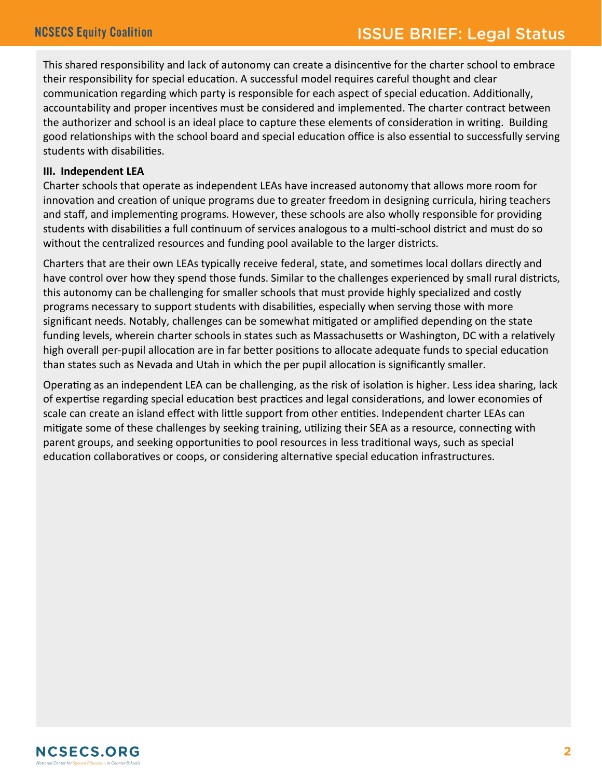This shared responsibility and lack of autonomy can create a disincentive for the charter school to embrace their responsibility for special education. A successful model requires careful thought and clear communication regarding which party is responsible for each aspect of special education. Additionally, accountability and proper incentives must be considered and implemented. The charter contract between the authorizer and school is an ideal place to capture these elements of consideration in writing. Building good relationships with the school board and special education office is also essential to successfully serving students with disabilities.

#### **III. Independent LEA**

Charter schools that operate as independent LEAs have increased autonomy that allows more room for innovation and creation of unique programs due to greater freedom in designing curricula, hiring teachers and staff, and implementing programs. However, these schools are also wholly responsible for providing students with disabilities a full continuum of services analogous to a multi-school district and must do so without the centralized resources and funding pool available to the larger districts.

Charters that are their own LEAs typically receive federal, state, and sometimes local dollars directly and have control over how they spend those funds. Similar to the challenges experienced by small rural districts, this autonomy can be challenging for smaller schools that must provide highly specialized and costly programs necessary to support students with disabilities, especially when serving those with more significant needs. Notably, challenges can be somewhat mitigated or amplified depending on the state funding levels, wherein charter schools in states such as Massachusetts or Washington, DC with a relatively high overall per-pupil allocation are in far better positions to allocate adequate funds to special education than states such as Nevada and Utah in which the per pupil allocation is significantly smaller.

Operating as an independent LEA can be challenging, as the risk of isolation is higher. Less idea sharing, lack of expertise regarding special education best practices and legal considerations, and lower economies of scale can create an island effect with little support from other entities. Independent charter LEAs can mitigate some of these challenges by seeking training, utilizing their SEA as a resource, connecting with parent groups, and seeking opportunities to pool resources in less traditional ways, such as special education collaboratives or coops, or considering alternative special education infrastructures.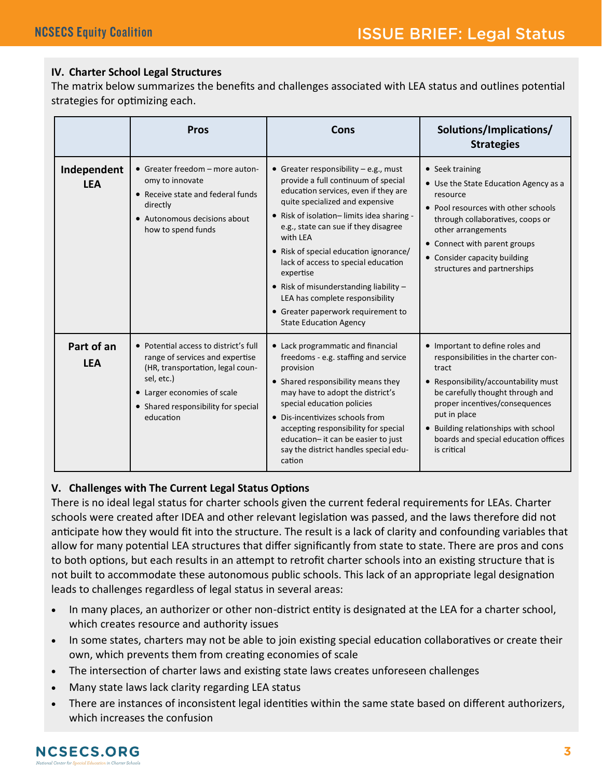# **IV. Charter School Legal Structures**

The matrix below summarizes the benefits and challenges associated with LEA status and outlines potential strategies for optimizing each.

|                           | <b>Pros</b>                                                                                                                                                                                                   | Cons                                                                                                                                                                                                                                                                                                                                                                                                                                                                                                          | Solutions/Implications/<br><b>Strategies</b>                                                                                                                                                                                                                                                                  |
|---------------------------|---------------------------------------------------------------------------------------------------------------------------------------------------------------------------------------------------------------|---------------------------------------------------------------------------------------------------------------------------------------------------------------------------------------------------------------------------------------------------------------------------------------------------------------------------------------------------------------------------------------------------------------------------------------------------------------------------------------------------------------|---------------------------------------------------------------------------------------------------------------------------------------------------------------------------------------------------------------------------------------------------------------------------------------------------------------|
| Independent<br><b>LEA</b> | • Greater freedom - more auton-<br>omy to innovate<br>• Receive state and federal funds<br>directly<br>• Autonomous decisions about<br>how to spend funds                                                     | • Greater responsibility $-e.g.,$ must<br>provide a full continuum of special<br>education services, even if they are<br>quite specialized and expensive<br>• Risk of isolation-limits idea sharing -<br>e.g., state can sue if they disagree<br>with IFA<br>• Risk of special education ignorance/<br>lack of access to special education<br>expertise<br>• Risk of misunderstanding liability $-$<br>LEA has complete responsibility<br>• Greater paperwork requirement to<br><b>State Education Agency</b> | • Seek training<br>• Use the State Education Agency as a<br>resource<br>• Pool resources with other schools<br>through collaboratives, coops or<br>other arrangements<br>• Connect with parent groups<br>• Consider capacity building<br>structures and partnerships                                          |
| Part of an<br><b>LEA</b>  | • Potential access to district's full<br>range of services and expertise<br>(HR, transportation, legal coun-<br>sel, etc.)<br>• Larger economies of scale<br>• Shared responsibility for special<br>education | • Lack programmatic and financial<br>freedoms - e.g. staffing and service<br>provision<br>• Shared responsibility means they<br>may have to adopt the district's<br>special education policies<br>• Dis-incentivizes schools from<br>accepting responsibility for special<br>education- it can be easier to just<br>say the district handles special edu-<br>cation                                                                                                                                           | • Important to define roles and<br>responsibilities in the charter con-<br>tract<br>• Responsibility/accountability must<br>be carefully thought through and<br>proper incentives/consequences<br>put in place<br>• Building relationships with school<br>boards and special education offices<br>is critical |

# **V. Challenges with The Current Legal Status Options**

There is no ideal legal status for charter schools given the current federal requirements for LEAs. Charter schools were created after IDEA and other relevant legislation was passed, and the laws therefore did not anticipate how they would fit into the structure. The result is a lack of clarity and confounding variables that allow for many potential LEA structures that differ significantly from state to state. There are pros and cons to both options, but each results in an attempt to retrofit charter schools into an existing structure that is not built to accommodate these autonomous public schools. This lack of an appropriate legal designation leads to challenges regardless of legal status in several areas:

- In many places, an authorizer or other non-district entity is designated at the LEA for a charter school, which creates resource and authority issues
- In some states, charters may not be able to join existing special education collaboratives or create their own, which prevents them from creating economies of scale
- The intersection of charter laws and existing state laws creates unforeseen challenges
- Many state laws lack clarity regarding LEA status
- There are instances of inconsistent legal identities within the same state based on different authorizers, which increases the confusion